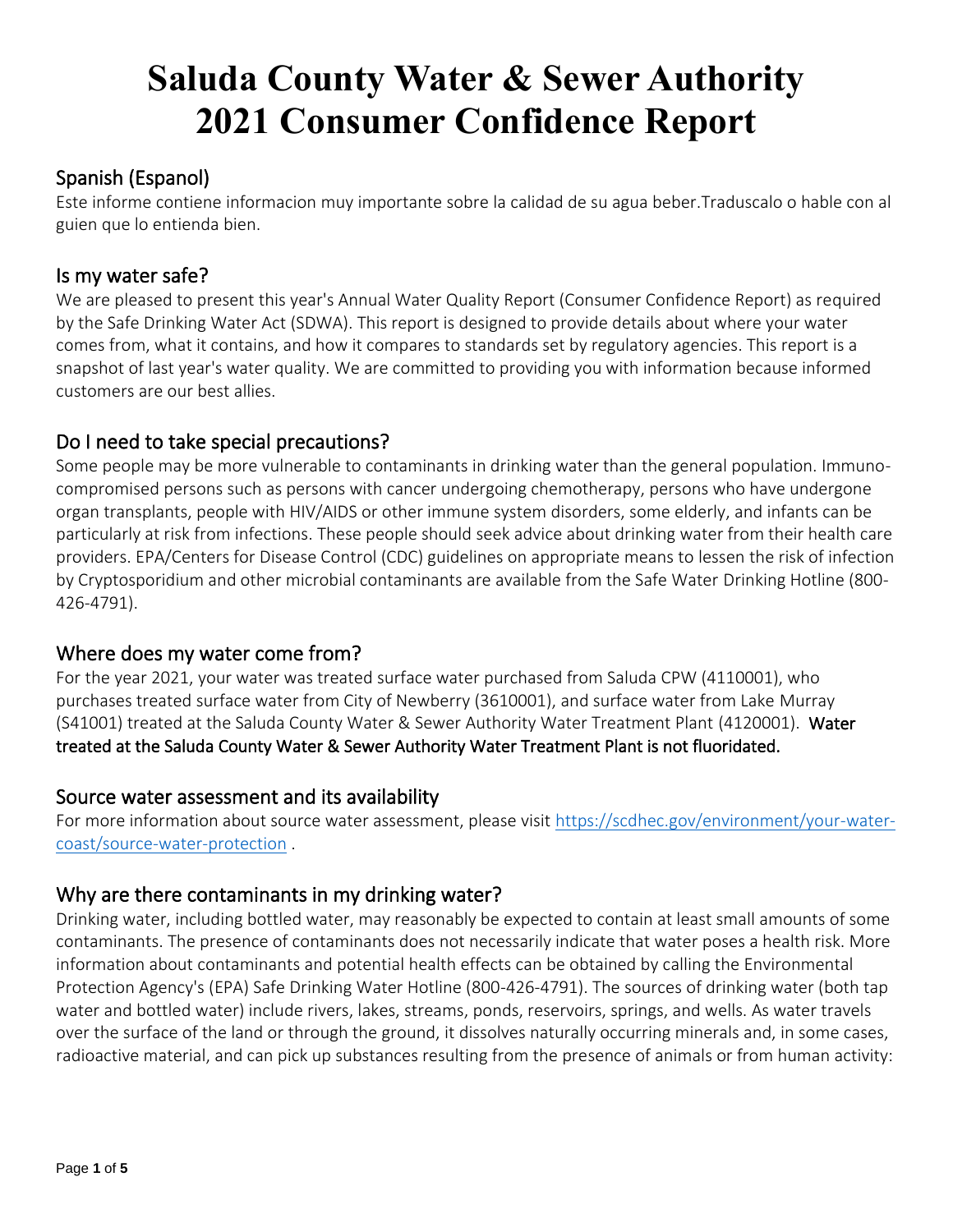# **Saluda County Water & Sewer Authority 2021 Consumer Confidence Report**

# Spanish (Espanol)

Este informe contiene informacion muy importante sobre la calidad de su agua beber.Traduscalo o hable con al guien que lo entienda bien.

#### Is my water safe?

We are pleased to present this year's Annual Water Quality Report (Consumer Confidence Report) as required by the Safe Drinking Water Act (SDWA). This report is designed to provide details about where your water comes from, what it contains, and how it compares to standards set by regulatory agencies. This report is a snapshot of last year's water quality. We are committed to providing you with information because informed customers are our best allies.

## Do I need to take special precautions?

Some people may be more vulnerable to contaminants in drinking water than the general population. Immunocompromised persons such as persons with cancer undergoing chemotherapy, persons who have undergone organ transplants, people with HIV/AIDS or other immune system disorders, some elderly, and infants can be particularly at risk from infections. These people should seek advice about drinking water from their health care providers. EPA/Centers for Disease Control (CDC) guidelines on appropriate means to lessen the risk of infection by Cryptosporidium and other microbial contaminants are available from the Safe Water Drinking Hotline (800- 426-4791).

## Where does my water come from?

For the year 2021, your water was treated surface water purchased from Saluda CPW (4110001), who purchases treated surface water from City of Newberry (3610001), and surface water from Lake Murray (S41001) treated at the Saluda County Water & Sewer Authority Water Treatment Plant (4120001). Water treated at the Saluda County Water & Sewer Authority Water Treatment Plant is not fluoridated.

#### Source water assessment and its availability

For more information about source water assessment, please visit [https://scdhec.gov/environment/your-water](https://scdhec.gov/environment/your-water-coast/source-water-protection)[coast/source-water-protection](https://scdhec.gov/environment/your-water-coast/source-water-protection) .

## Why are there contaminants in my drinking water?

Drinking water, including bottled water, may reasonably be expected to contain at least small amounts of some contaminants. The presence of contaminants does not necessarily indicate that water poses a health risk. More information about contaminants and potential health effects can be obtained by calling the Environmental Protection Agency's (EPA) Safe Drinking Water Hotline (800-426-4791). The sources of drinking water (both tap water and bottled water) include rivers, lakes, streams, ponds, reservoirs, springs, and wells. As water travels over the surface of the land or through the ground, it dissolves naturally occurring minerals and, in some cases, radioactive material, and can pick up substances resulting from the presence of animals or from human activity: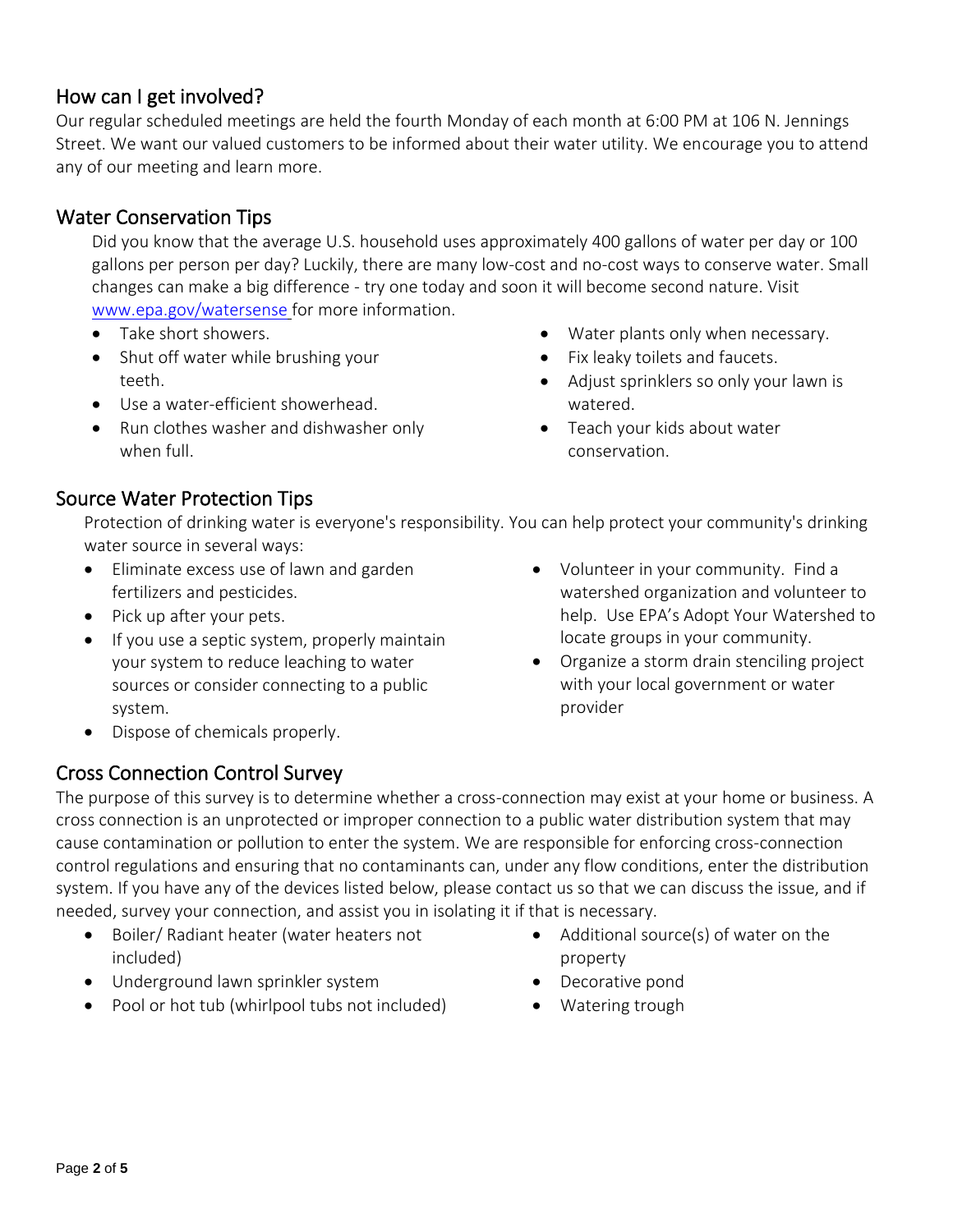## How can I get involved?

Our regular scheduled meetings are held the fourth Monday of each month at 6:00 PM at 106 N. Jennings Street. We want our valued customers to be informed about their water utility. We encourage you to attend any of our meeting and learn more.

# Water Conservation Tips

Did you know that the average U.S. household uses approximately 400 gallons of water per day or 100 gallons per person per day? Luckily, there are many low-cost and no-cost ways to conserve water. Small changes can make a big difference - try one today and soon it will become second nature. Visit [www.epa.gov/watersense](http://www.epa.gov/watersense) for more information.

- Take short showers.
- Shut off water while brushing your teeth.
- Use a water-efficient showerhead.
- Run clothes washer and dishwasher only when full.
- Water plants only when necessary.
- Fix leaky toilets and faucets.
- Adjust sprinklers so only your lawn is watered.
- Teach your kids about water conservation.

## Source Water Protection Tips

Protection of drinking water is everyone's responsibility. You can help protect your community's drinking water source in several ways:

- Eliminate excess use of lawn and garden fertilizers and pesticides.
- Pick up after your pets.
- If you use a septic system, properly maintain your system to reduce leaching to water sources or consider connecting to a public system.
- Volunteer in your community. Find a watershed organization and volunteer to help. Use EPA's Adopt Your Watershed to locate groups in your community.
- Organize a storm drain stenciling project with your local government or water provider

• Dispose of chemicals properly.

## Cross Connection Control Survey

The purpose of this survey is to determine whether a cross-connection may exist at your home or business. A cross connection is an unprotected or improper connection to a public water distribution system that may cause contamination or pollution to enter the system. We are responsible for enforcing cross-connection control regulations and ensuring that no contaminants can, under any flow conditions, enter the distribution system. If you have any of the devices listed below, please contact us so that we can discuss the issue, and if needed, survey your connection, and assist you in isolating it if that is necessary.

- Boiler/ Radiant heater (water heaters not included)
- Underground lawn sprinkler system
- Pool or hot tub (whirlpool tubs not included)
- Additional source(s) of water on the property
- Decorative pond
- Watering trough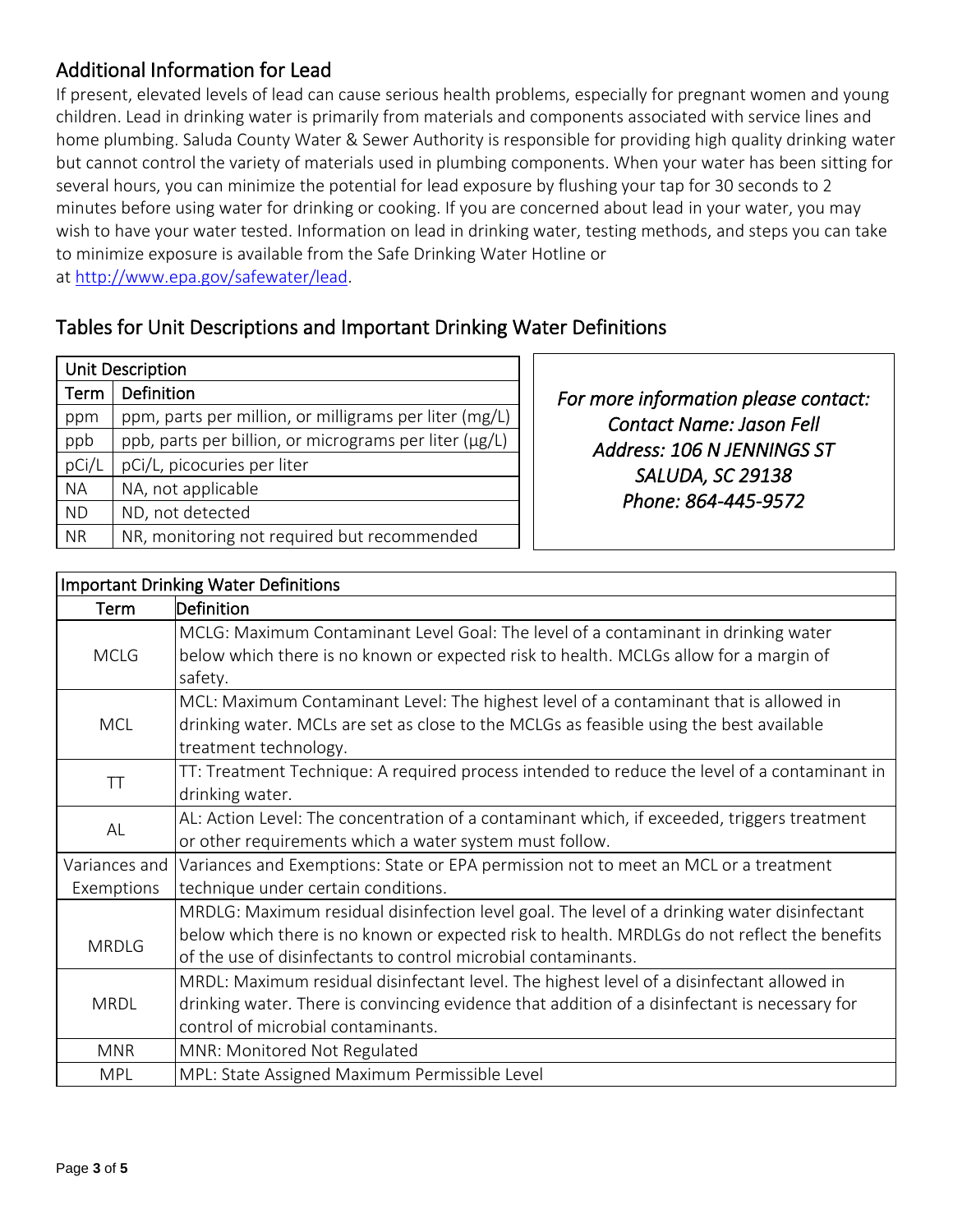# Additional Information for Lead

If present, elevated levels of lead can cause serious health problems, especially for pregnant women and young children. Lead in drinking water is primarily from materials and components associated with service lines and home plumbing. Saluda County Water & Sewer Authority is responsible for providing high quality drinking water but cannot control the variety of materials used in plumbing components. When your water has been sitting for several hours, you can minimize the potential for lead exposure by flushing your tap for 30 seconds to 2 minutes before using water for drinking or cooking. If you are concerned about lead in your water, you may wish to have your water tested. Information on lead in drinking water, testing methods, and steps you can take to minimize exposure is available from the Safe Drinking Water Hotline or at [http://www.epa.gov/safewater/lead.](http://www.epa.gov/safewater/lead)

# Tables for Unit Descriptions and Important Drinking Water Definitions

| <b>Unit Description</b> |                                                        |       |  |  |  |
|-------------------------|--------------------------------------------------------|-------|--|--|--|
| Term                    | Definition                                             | For m |  |  |  |
| ppm                     | ppm, parts per million, or milligrams per liter (mg/L) |       |  |  |  |
| ppb                     | ppb, parts per billion, or micrograms per liter (µg/L) | A۱    |  |  |  |
| pCi/L                   | pCi/L, picocuries per liter                            |       |  |  |  |
| <b>NA</b>               | NA, not applicable                                     |       |  |  |  |
| <b>ND</b>               | ND, not detected                                       |       |  |  |  |
| <b>NR</b>               | NR, monitoring not required but recommended            |       |  |  |  |

*For more information please contact: Contact Name: Jason Fell Address: 106 N JENNINGS ST SALUDA, SC 29138 Phone: 864-445-9572* 

|               | <b>Important Drinking Water Definitions</b>                                                                                                                                 |
|---------------|-----------------------------------------------------------------------------------------------------------------------------------------------------------------------------|
| Term          | Definition                                                                                                                                                                  |
| <b>MCLG</b>   | MCLG: Maximum Contaminant Level Goal: The level of a contaminant in drinking water<br>below which there is no known or expected risk to health. MCLGs allow for a margin of |
|               | safety.                                                                                                                                                                     |
|               | MCL: Maximum Contaminant Level: The highest level of a contaminant that is allowed in                                                                                       |
| <b>MCL</b>    | drinking water. MCLs are set as close to the MCLGs as feasible using the best available                                                                                     |
|               | treatment technology.                                                                                                                                                       |
| TT            | TT: Treatment Technique: A required process intended to reduce the level of a contaminant in                                                                                |
|               | drinking water.                                                                                                                                                             |
| AL            | AL: Action Level: The concentration of a contaminant which, if exceeded, triggers treatment                                                                                 |
|               | or other requirements which a water system must follow.                                                                                                                     |
| Variances and | Variances and Exemptions: State or EPA permission not to meet an MCL or a treatment                                                                                         |
| Exemptions    | technique under certain conditions.                                                                                                                                         |
|               | MRDLG: Maximum residual disinfection level goal. The level of a drinking water disinfectant                                                                                 |
| <b>MRDLG</b>  | below which there is no known or expected risk to health. MRDLGs do not reflect the benefits                                                                                |
|               | of the use of disinfectants to control microbial contaminants.                                                                                                              |
| <b>MRDL</b>   | MRDL: Maximum residual disinfectant level. The highest level of a disinfectant allowed in                                                                                   |
|               | drinking water. There is convincing evidence that addition of a disinfectant is necessary for                                                                               |
|               | control of microbial contaminants.                                                                                                                                          |
| <b>MNR</b>    | MNR: Monitored Not Regulated                                                                                                                                                |
| <b>MPL</b>    | MPL: State Assigned Maximum Permissible Level                                                                                                                               |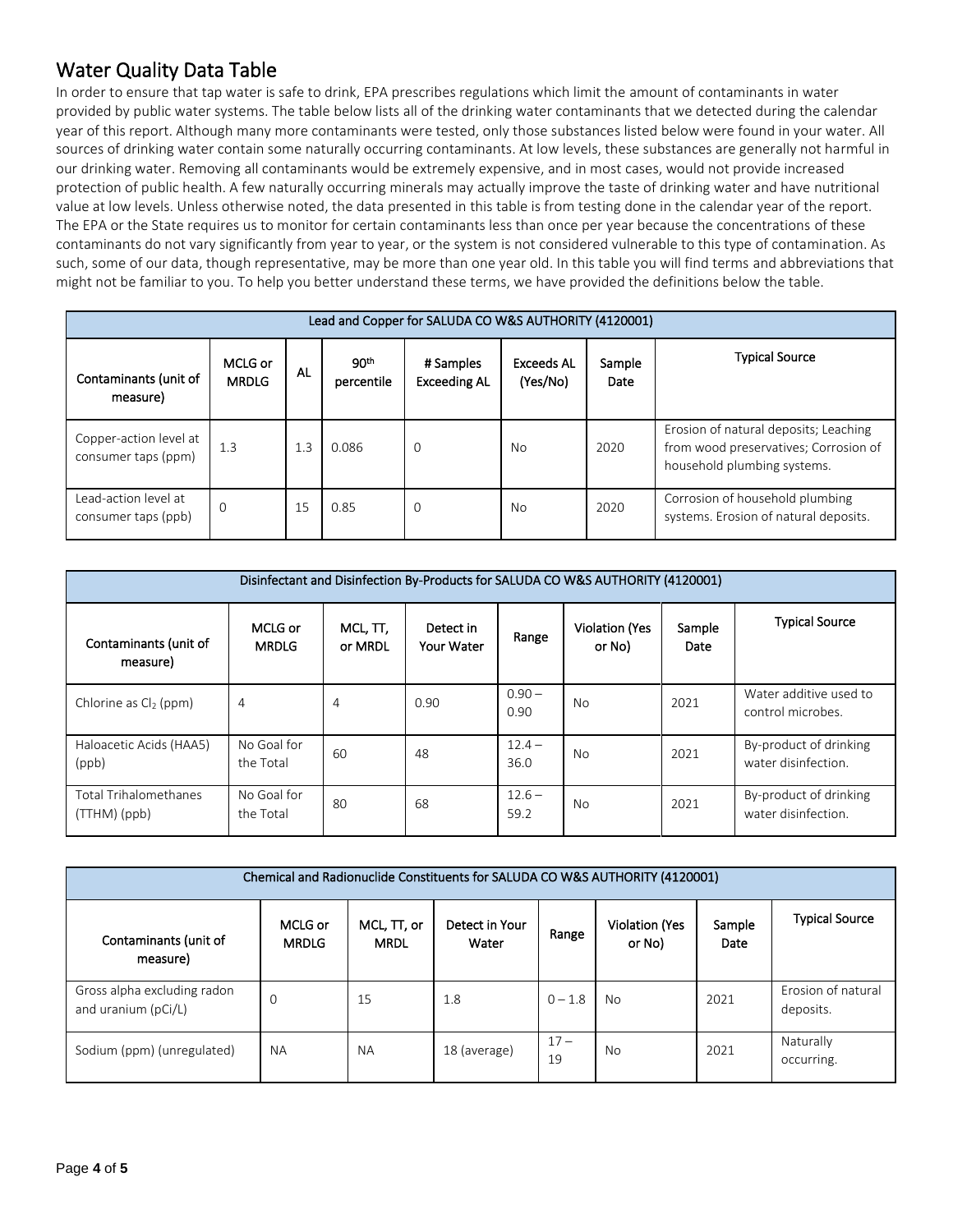# Water Quality Data Table

In order to ensure that tap water is safe to drink, EPA prescribes regulations which limit the amount of contaminants in water provided by public water systems. The table below lists all of the drinking water contaminants that we detected during the calendar year of this report. Although many more contaminants were tested, only those substances listed below were found in your water. All sources of drinking water contain some naturally occurring contaminants. At low levels, these substances are generally not harmful in our drinking water. Removing all contaminants would be extremely expensive, and in most cases, would not provide increased protection of public health. A few naturally occurring minerals may actually improve the taste of drinking water and have nutritional value at low levels. Unless otherwise noted, the data presented in this table is from testing done in the calendar year of the report. The EPA or the State requires us to monitor for certain contaminants less than once per year because the concentrations of these contaminants do not vary significantly from year to year, or the system is not considered vulnerable to this type of contamination. As such, some of our data, though representative, may be more than one year old. In this table you will find terms and abbreviations that might not be familiar to you. To help you better understand these terms, we have provided the definitions below the table.

| Lead and Copper for SALUDA CO W&S AUTHORITY (4120001) |                         |     |                                |                                  |                               |                       |                                                                                                               |  |
|-------------------------------------------------------|-------------------------|-----|--------------------------------|----------------------------------|-------------------------------|-----------------------|---------------------------------------------------------------------------------------------------------------|--|
| Contaminants (unit of<br>measure)                     | MCLG or<br><b>MRDLG</b> | AL  | 90 <sup>th</sup><br>percentile | # Samples<br><b>Exceeding AL</b> | <b>Exceeds AL</b><br>(Yes/No) | Sample<br><b>Date</b> | <b>Typical Source</b>                                                                                         |  |
| Copper-action level at<br>consumer taps (ppm)         | 1.3                     | 1.3 | 0.086                          | $\Omega$                         | <b>No</b>                     | 2020                  | Erosion of natural deposits; Leaching<br>from wood preservatives; Corrosion of<br>household plumbing systems. |  |
| Lead-action level at<br>consumer taps (ppb)           | $\mathbf 0$             | 15  | 0.85                           | 0                                | N <sub>0</sub>                | 2020                  | Corrosion of household plumbing<br>systems. Erosion of natural deposits.                                      |  |

| Disinfectant and Disinfection By-Products for SALUDA CO W&S AUTHORITY (4120001) |                          |                           |                         |                  |                                 |                |                                               |  |
|---------------------------------------------------------------------------------|--------------------------|---------------------------|-------------------------|------------------|---------------------------------|----------------|-----------------------------------------------|--|
| Contaminants (unit of<br>measure)                                               | MCLG or<br><b>MRDLG</b>  | $MCL$ , $TT$ ,<br>or MRDL | Detect in<br>Your Water | Range            | <b>Violation (Yes</b><br>or No) | Sample<br>Date | <b>Typical Source</b>                         |  |
| Chlorine as $Cl2$ (ppm)                                                         | 4                        | 4                         | 0.90                    | $0.90 -$<br>0.90 | <b>No</b>                       | 2021           | Water additive used to<br>control microbes.   |  |
| Haloacetic Acids (HAA5)<br>(ppb)                                                | No Goal for<br>the Total | 60                        | 48                      | $12.4 -$<br>36.0 | No                              | 2021           | By-product of drinking<br>water disinfection. |  |
| <b>Total Trihalomethanes</b><br>(TTHM)(ppb)                                     | No Goal for<br>the Total | 80                        | 68                      | $12.6 -$<br>59.2 | No                              | 2021           | By-product of drinking<br>water disinfection. |  |

| Chemical and Radionuclide Constituents for SALUDA CO W&S AUTHORITY (4120001) |                         |                            |                         |              |                                 |                |                                 |
|------------------------------------------------------------------------------|-------------------------|----------------------------|-------------------------|--------------|---------------------------------|----------------|---------------------------------|
| Contaminants (unit of<br>measure)                                            | MCLG or<br><b>MRDLG</b> | MCL, TT, or<br><b>MRDL</b> | Detect in Your<br>Water | Range        | <b>Violation (Yes</b><br>or No) | Sample<br>Date | <b>Typical Source</b>           |
| Gross alpha excluding radon<br>and uranium (pCi/L)                           | 0                       | 15                         | 1.8                     | $0 - 1.8$    | No.                             | 2021           | Erosion of natural<br>deposits. |
| Sodium (ppm) (unregulated)                                                   | <b>NA</b>               | <b>NA</b>                  | 18 (average)            | $17 -$<br>19 | No                              | 2021           | Naturally<br>occurring.         |